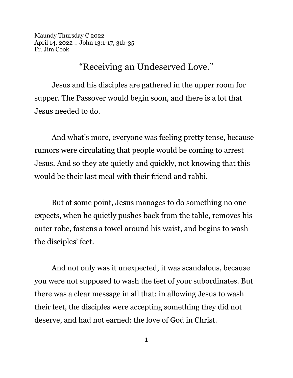Maundy Thursday C 2022 April 14, 2022 :: John 13:1-17, 31b-35 Fr. Jim Cook

"Receiving an Undeserved Love."

Jesus and his disciples are gathered in the upper room for supper. The Passover would begin soon, and there is a lot that Jesus needed to do.

And what's more, everyone was feeling pretty tense, because rumors were circulating that people would be coming to arrest Jesus. And so they ate quietly and quickly, not knowing that this would be their last meal with their friend and rabbi.

But at some point, Jesus manages to do something no one expects, when he quietly pushes back from the table, removes his outer robe, fastens a towel around his waist, and begins to wash the disciples' feet.

And not only was it unexpected, it was scandalous, because you were not supposed to wash the feet of your subordinates. But there was a clear message in all that: in allowing Jesus to wash their feet, the disciples were accepting something they did not deserve, and had not earned: the love of God in Christ.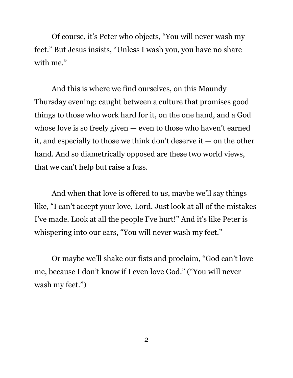Of course, it's Peter who objects, "You will never wash my feet." But Jesus insists, "Unless I wash you, you have no share with me."

And this is where we find ourselves, on this Maundy Thursday evening: caught between a culture that promises good things to those who work hard for it, on the one hand, and a God whose love is so freely given — even to those who haven't earned it, and especially to those we think don't deserve it — on the other hand. And so diametrically opposed are these two world views, that we can't help but raise a fuss.

And when that love is offered to *us*, maybe we'll say things like, "I can't accept your love, Lord. Just look at all of the mistakes I've made. Look at all the people I've hurt!" And it's like Peter is whispering into our ears, "You will never wash my feet."

Or maybe we'll shake our fists and proclaim, "God can't love me, because I don't know if I even love God." ("You will never wash my feet.")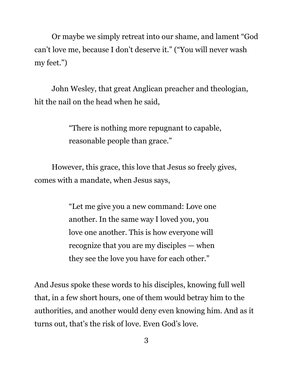Or maybe we simply retreat into our shame, and lament "God can't love me, because I don't deserve it." ("You will never wash my feet.")

John Wesley, that great Anglican preacher and theologian, hit the nail on the head when he said,

> "There is nothing more repugnant to capable, reasonable people than grace."

However, this grace, this love that Jesus so freely gives, comes with a mandate, when Jesus says,

> "Let me give you a new command: Love one another. In the same way I loved you, you love one another. This is how everyone will recognize that you are my disciples — when they see the love you have for each other."

And Jesus spoke these words to his disciples, knowing full well that, in a few short hours, one of them would betray him to the authorities, and another would deny even knowing him. And as it turns out, that's the risk of love. Even God's love.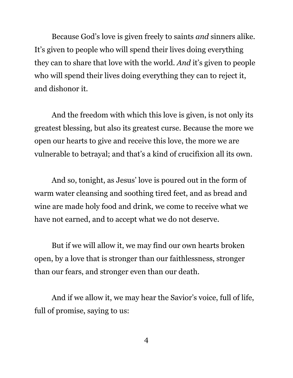Because God's love is given freely to saints *and* sinners alike. It's given to people who will spend their lives doing everything they can to share that love with the world. *And* it's given to people who will spend their lives doing everything they can to reject it, and dishonor it.

And the freedom with which this love is given, is not only its greatest blessing, but also its greatest curse. Because the more we open our hearts to give and receive this love, the more we are vulnerable to betrayal; and that's a kind of crucifixion all its own.

And so, tonight, as Jesus' love is poured out in the form of warm water cleansing and soothing tired feet, and as bread and wine are made holy food and drink, we come to receive what we have not earned, and to accept what we do not deserve.

But if we will allow it, we may find our own hearts broken open, by a love that is stronger than our faithlessness, stronger than our fears, and stronger even than our death.

And if we allow it, we may hear the Savior's voice, full of life, full of promise, saying to us: